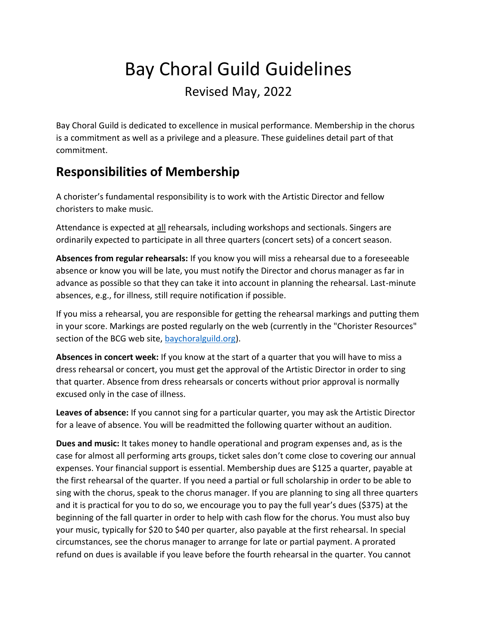# Bay Choral Guild Guidelines Revised May, 2022

Bay Choral Guild is dedicated to excellence in musical performance. Membership in the chorus is a commitment as well as a privilege and a pleasure. These guidelines detail part of that commitment.

#### **Responsibilities of Membership**

A chorister's fundamental responsibility is to work with the Artistic Director and fellow choristers to make music.

Attendance is expected at all rehearsals, including workshops and sectionals. Singers are ordinarily expected to participate in all three quarters (concert sets) of a concert season.

**Absences from regular rehearsals:** If you know you will miss a rehearsal due to a foreseeable absence or know you will be late, you must notify the Director and chorus manager as far in advance as possible so that they can take it into account in planning the rehearsal. Last-minute absences, e.g., for illness, still require notification if possible.

If you miss a rehearsal, you are responsible for getting the rehearsal markings and putting them in your score. Markings are posted regularly on the web (currently in the "Chorister Resources" section of the BCG web site, [baychoralguild.org\)](https://www.baychoralguild.org/).

**Absences in concert week:** If you know at the start of a quarter that you will have to miss a dress rehearsal or concert, you must get the approval of the Artistic Director in order to sing that quarter. Absence from dress rehearsals or concerts without prior approval is normally excused only in the case of illness.

**Leaves of absence:** If you cannot sing for a particular quarter, you may ask the Artistic Director for a leave of absence. You will be readmitted the following quarter without an audition.

**Dues and music:** It takes money to handle operational and program expenses and, as is the case for almost all performing arts groups, ticket sales don't come close to covering our annual expenses. Your financial support is essential. Membership dues are \$125 a quarter, payable at the first rehearsal of the quarter. If you need a partial or full scholarship in order to be able to sing with the chorus, speak to the chorus manager. If you are planning to sing all three quarters and it is practical for you to do so, we encourage you to pay the full year's dues (\$375) at the beginning of the fall quarter in order to help with cash flow for the chorus. You must also buy your music, typically for \$20 to \$40 per quarter, also payable at the first rehearsal. In special circumstances, see the chorus manager to arrange for late or partial payment. A prorated refund on dues is available if you leave before the fourth rehearsal in the quarter. You cannot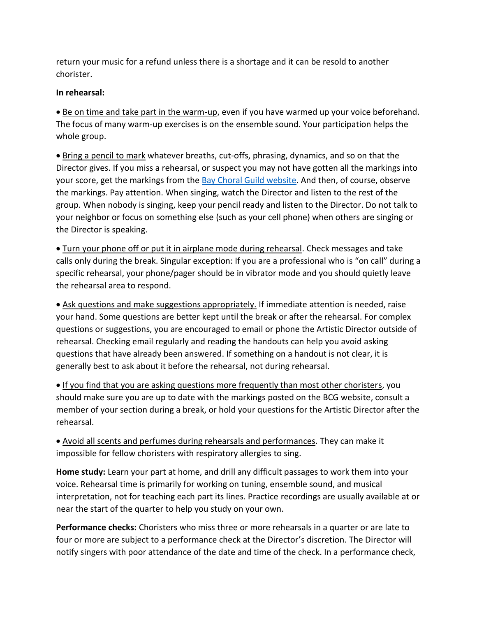return your music for a refund unless there is a shortage and it can be resold to another chorister.

#### **In rehearsal:**

 Be on time and take part in the warm-up, even if you have warmed up your voice beforehand. The focus of many warm-up exercises is on the ensemble sound. Your participation helps the whole group.

 Bring a pencil to mark whatever breaths, cut-offs, phrasing, dynamics, and so on that the Director gives. If you miss a rehearsal, or suspect you may not have gotten all the markings into your score, get the markings from the [Bay Choral Guild website.](https://www.baychoralguild.org/markings.html) And then, of course, observe the markings. Pay attention. When singing, watch the Director and listen to the rest of the group. When nobody is singing, keep your pencil ready and listen to the Director. Do not talk to your neighbor or focus on something else (such as your cell phone) when others are singing or the Director is speaking.

 Turn your phone off or put it in airplane mode during rehearsal. Check messages and take calls only during the break. Singular exception: If you are a professional who is "on call" during a specific rehearsal, your phone/pager should be in vibrator mode and you should quietly leave the rehearsal area to respond.

 Ask questions and make suggestions appropriately. If immediate attention is needed, raise your hand. Some questions are better kept until the break or after the rehearsal. For complex questions or suggestions, you are encouraged to email or phone the Artistic Director outside of rehearsal. Checking email regularly and reading the handouts can help you avoid asking questions that have already been answered. If something on a handout is not clear, it is generally best to ask about it before the rehearsal, not during rehearsal.

 If you find that you are asking questions more frequently than most other choristers, you should make sure you are up to date with the markings posted on the BCG website, consult a member of your section during a break, or hold your questions for the Artistic Director after the rehearsal.

 Avoid all scents and perfumes during rehearsals and performances. They can make it impossible for fellow choristers with respiratory allergies to sing.

**Home study:** Learn your part at home, and drill any difficult passages to work them into your voice. Rehearsal time is primarily for working on tuning, ensemble sound, and musical interpretation, not for teaching each part its lines. Practice recordings are usually available at or near the start of the quarter to help you study on your own.

**Performance checks:** Choristers who miss three or more rehearsals in a quarter or are late to four or more are subject to a performance check at the Director's discretion. The Director will notify singers with poor attendance of the date and time of the check. In a performance check,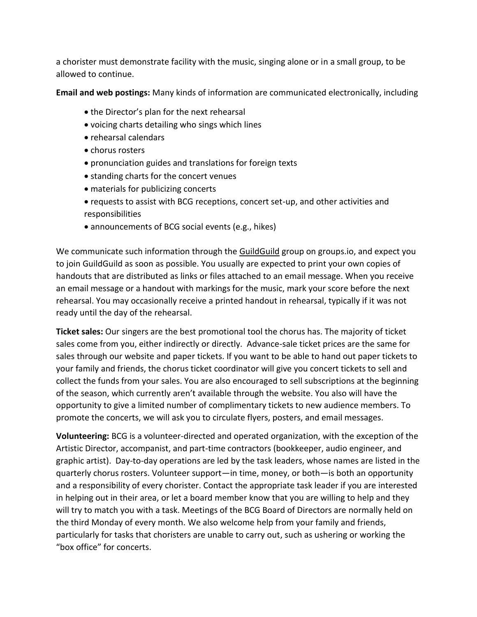a chorister must demonstrate facility with the music, singing alone or in a small group, to be allowed to continue.

**Email and web postings:** Many kinds of information are communicated electronically, including

- the Director's plan for the next rehearsal
- voicing charts detailing who sings which lines
- rehearsal calendars
- chorus rosters
- pronunciation guides and translations for foreign texts
- standing charts for the concert venues
- materials for publicizing concerts
- requests to assist with BCG receptions, concert set-up, and other activities and responsibilities
- announcements of BCG social events (e.g., hikes)

We communicate such information through the GuildGuild group on groups.io, and expect you to join GuildGuild as soon as possible. You usually are expected to print your own copies of handouts that are distributed as links or files attached to an email message. When you receive an email message or a handout with markings for the music, mark your score before the next rehearsal. You may occasionally receive a printed handout in rehearsal, typically if it was not ready until the day of the rehearsal.

**Ticket sales:** Our singers are the best promotional tool the chorus has. The majority of ticket sales come from you, either indirectly or directly. Advance-sale ticket prices are the same for sales through our website and paper tickets. If you want to be able to hand out paper tickets to your family and friends, the chorus ticket coordinator will give you concert tickets to sell and collect the funds from your sales. You are also encouraged to sell subscriptions at the beginning of the season, which currently aren't available through the website. You also will have the opportunity to give a limited number of complimentary tickets to new audience members. To promote the concerts, we will ask you to circulate flyers, posters, and email messages.

**Volunteering:** BCG is a volunteer-directed and operated organization, with the exception of the Artistic Director, accompanist, and part-time contractors (bookkeeper, audio engineer, and graphic artist). Day-to-day operations are led by the task leaders, whose names are listed in the quarterly chorus rosters. Volunteer support—in time, money, or both—is both an opportunity and a responsibility of every chorister. Contact the appropriate task leader if you are interested in helping out in their area, or let a board member know that you are willing to help and they will try to match you with a task. Meetings of the BCG Board of Directors are normally held on the third Monday of every month. We also welcome help from your family and friends, particularly for tasks that choristers are unable to carry out, such as ushering or working the "box office" for concerts.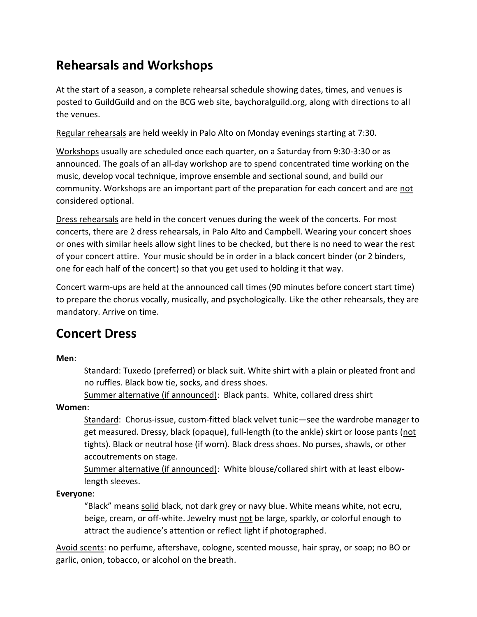### **Rehearsals and Workshops**

At the start of a season, a complete rehearsal schedule showing dates, times, and venues is posted to GuildGuild and on the BCG web site, baychoralguild.org, along with directions to all the venues.

Regular rehearsals are held weekly in Palo Alto on Monday evenings starting at 7:30.

Workshops usually are scheduled once each quarter, on a Saturday from 9:30-3:30 or as announced. The goals of an all-day workshop are to spend concentrated time working on the music, develop vocal technique, improve ensemble and sectional sound, and build our community. Workshops are an important part of the preparation for each concert and are not considered optional.

Dress rehearsals are held in the concert venues during the week of the concerts. For most concerts, there are 2 dress rehearsals, in Palo Alto and Campbell. Wearing your concert shoes or ones with similar heels allow sight lines to be checked, but there is no need to wear the rest of your concert attire. Your music should be in order in a black concert binder (or 2 binders, one for each half of the concert) so that you get used to holding it that way.

Concert warm-ups are held at the announced call times (90 minutes before concert start time) to prepare the chorus vocally, musically, and psychologically. Like the other rehearsals, they are mandatory. Arrive on time.

### **Concert Dress**

**Men**:

Standard: Tuxedo (preferred) or black suit. White shirt with a plain or pleated front and no ruffles. Black bow tie, socks, and dress shoes.

Summer alternative (if announced): Black pants. White, collared dress shirt

#### **Women**:

Standard: Chorus-issue, custom-fitted black velvet tunic-see the wardrobe manager to get measured. Dressy, black (opaque), full-length (to the ankle) skirt or loose pants (not tights). Black or neutral hose (if worn). Black dress shoes. No purses, shawls, or other accoutrements on stage.

Summer alternative (if announced): White blouse/collared shirt with at least elbowlength sleeves.

**Everyone**:

"Black" means solid black, not dark grey or navy blue. White means white, not ecru, beige, cream, or off-white. Jewelry must not be large, sparkly, or colorful enough to attract the audience's attention or reflect light if photographed.

Avoid scents: no perfume, aftershave, cologne, scented mousse, hair spray, or soap; no BO or garlic, onion, tobacco, or alcohol on the breath.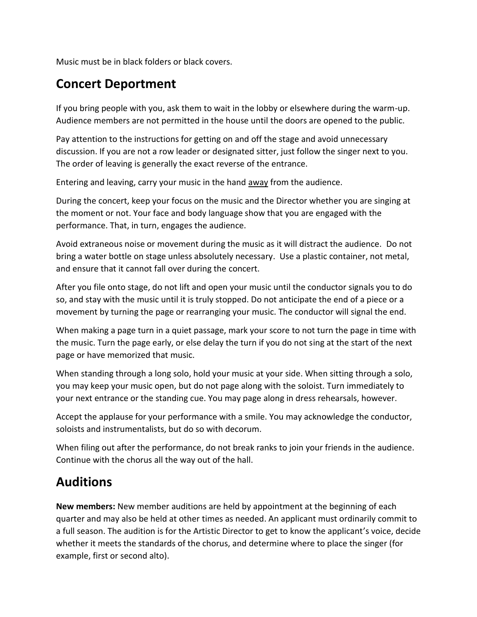Music must be in black folders or black covers.

### **Concert Deportment**

If you bring people with you, ask them to wait in the lobby or elsewhere during the warm-up. Audience members are not permitted in the house until the doors are opened to the public.

Pay attention to the instructions for getting on and off the stage and avoid unnecessary discussion. If you are not a row leader or designated sitter, just follow the singer next to you. The order of leaving is generally the exact reverse of the entrance.

Entering and leaving, carry your music in the hand away from the audience.

During the concert, keep your focus on the music and the Director whether you are singing at the moment or not. Your face and body language show that you are engaged with the performance. That, in turn, engages the audience.

Avoid extraneous noise or movement during the music as it will distract the audience. Do not bring a water bottle on stage unless absolutely necessary. Use a plastic container, not metal, and ensure that it cannot fall over during the concert.

After you file onto stage, do not lift and open your music until the conductor signals you to do so, and stay with the music until it is truly stopped. Do not anticipate the end of a piece or a movement by turning the page or rearranging your music. The conductor will signal the end.

When making a page turn in a quiet passage, mark your score to not turn the page in time with the music. Turn the page early, or else delay the turn if you do not sing at the start of the next page or have memorized that music.

When standing through a long solo, hold your music at your side. When sitting through a solo, you may keep your music open, but do not page along with the soloist. Turn immediately to your next entrance or the standing cue. You may page along in dress rehearsals, however.

Accept the applause for your performance with a smile. You may acknowledge the conductor, soloists and instrumentalists, but do so with decorum.

When filing out after the performance, do not break ranks to join your friends in the audience. Continue with the chorus all the way out of the hall.

### **Auditions**

**New members:** New member auditions are held by appointment at the beginning of each quarter and may also be held at other times as needed. An applicant must ordinarily commit to a full season. The audition is for the Artistic Director to get to know the applicant's voice, decide whether it meets the standards of the chorus, and determine where to place the singer (for example, first or second alto).